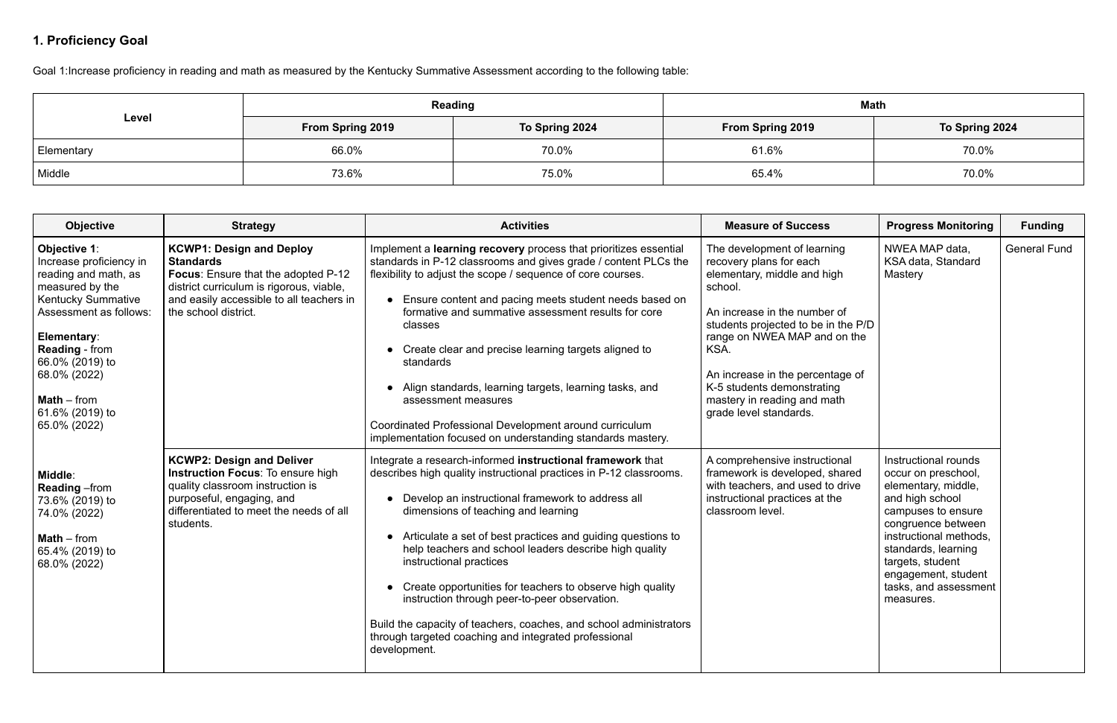# **1. Proficiency Goal**

Goal 1:Increase proficiency in reading and math as measured by the Kentucky Summative Assessment according to the following table:

|            | Reading                 |                | <b>Math</b>             |                |
|------------|-------------------------|----------------|-------------------------|----------------|
| Level      | <b>From Spring 2019</b> | To Spring 2024 | <b>From Spring 2019</b> | To Spring 2024 |
| Elementary | 66.0%                   | 70.0%          | 61.6%                   | 70.0%          |
| Middle     | 73.6%                   | 75.0%          | 65.4%                   | 70.0%          |

| <b>Objective</b>                                                                                                                                                                                                                                                         | <b>Strategy</b>                                                                                                                                                                                            | <b>Activities</b>                                                                                                                                                                                                                                                                                                                                                                                                                                                                                                                                                                                                                                 | <b>Measure of Success</b>                                                                                                                                                                                                                                                                                                                  | <b>Progress Monitoring</b>                                                                                                                                                                                                                                          | <b>Funding</b>      |
|--------------------------------------------------------------------------------------------------------------------------------------------------------------------------------------------------------------------------------------------------------------------------|------------------------------------------------------------------------------------------------------------------------------------------------------------------------------------------------------------|---------------------------------------------------------------------------------------------------------------------------------------------------------------------------------------------------------------------------------------------------------------------------------------------------------------------------------------------------------------------------------------------------------------------------------------------------------------------------------------------------------------------------------------------------------------------------------------------------------------------------------------------------|--------------------------------------------------------------------------------------------------------------------------------------------------------------------------------------------------------------------------------------------------------------------------------------------------------------------------------------------|---------------------------------------------------------------------------------------------------------------------------------------------------------------------------------------------------------------------------------------------------------------------|---------------------|
| Objective 1:<br>Increase proficiency in<br>reading and math, as<br>measured by the<br><b>Kentucky Summative</b><br>Assessment as follows:<br>Elementary:<br><b>Reading - from</b><br>66.0% (2019) to<br>68.0% (2022)<br>$Math - from$<br>61.6% (2019) to<br>65.0% (2022) | <b>KCWP1: Design and Deploy</b><br><b>Standards</b><br>Focus: Ensure that the adopted P-12<br>district curriculum is rigorous, viable,<br>and easily accessible to all teachers in<br>the school district. | Implement a learning recovery process that prioritizes essential<br>standards in P-12 classrooms and gives grade / content PLCs the<br>flexibility to adjust the scope / sequence of core courses.<br>• Ensure content and pacing meets student needs based on<br>formative and summative assessment results for core<br>classes<br>• Create clear and precise learning targets aligned to<br>standards<br>Align standards, learning targets, learning tasks, and<br>assessment measures<br>Coordinated Professional Development around curriculum<br>implementation focused on understanding standards mastery.                                  | The development of learning<br>recovery plans for each<br>elementary, middle and high<br>school.<br>An increase in the number of<br>students projected to be in the P/D<br>range on NWEA MAP and on the<br>KSA.<br>An increase in the percentage of<br>K-5 students demonstrating<br>mastery in reading and math<br>grade level standards. | NWEA MAP data,<br>KSA data, Standard<br>Mastery                                                                                                                                                                                                                     | <b>General Fund</b> |
| Middle:<br><b>Reading</b> - from<br>73.6% (2019) to<br>74.0% (2022)<br>$Math - from$<br>65.4% (2019) to<br>68.0% (2022)                                                                                                                                                  | <b>KCWP2: Design and Deliver</b><br><b>Instruction Focus: To ensure high</b><br>quality classroom instruction is<br>purposeful, engaging, and<br>differentiated to meet the needs of all<br>students.      | Integrate a research-informed instructional framework that<br>describes high quality instructional practices in P-12 classrooms.<br>• Develop an instructional framework to address all<br>dimensions of teaching and learning<br>• Articulate a set of best practices and guiding questions to<br>help teachers and school leaders describe high quality<br>instructional practices<br>Create opportunities for teachers to observe high quality<br>instruction through peer-to-peer observation.<br>Build the capacity of teachers, coaches, and school administrators<br>through targeted coaching and integrated professional<br>development. | A comprehensive instructional<br>framework is developed, shared<br>with teachers, and used to drive<br>instructional practices at the<br>classroom level.                                                                                                                                                                                  | Instructional rounds<br>occur on preschool,<br>elementary, middle,<br>and high school<br>campuses to ensure<br>congruence between<br>instructional methods,<br>standards, learning<br>targets, student<br>engagement, student<br>tasks, and assessment<br>measures. |                     |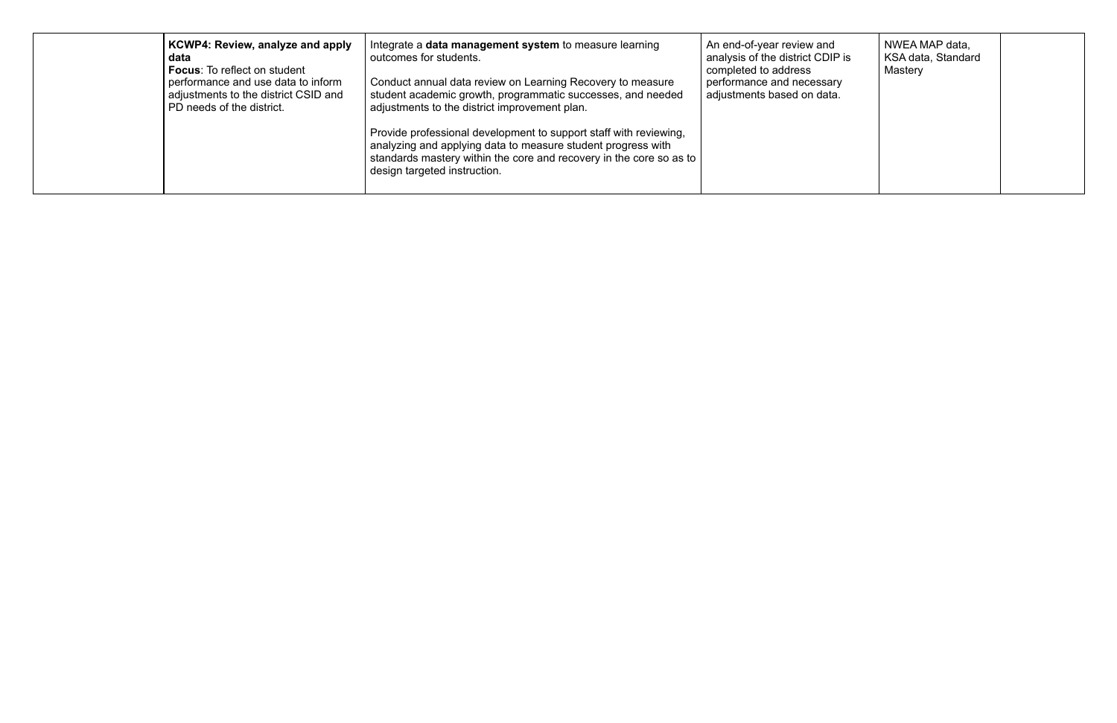| KCWP4: Review, analyze and apply<br>data<br><b>Focus:</b> To reflect on student<br>performance and use data to inform<br>adjustments to the district CSID and<br>PD needs of the district. | Integrate a <b>data management system</b> to measure learning<br>outcomes for students.<br>Conduct annual data review on Learning Recovery to measure<br>student academic growth, programmatic successes, and needed<br>adjustments to the district improvement plan.<br>Provide professional development to support staff with reviewing,<br>analyzing and applying data to measure student progress with<br>standards mastery within the core and recovery in the core so as to<br>design targeted instruction. | An end-of-year review and<br>analysis of the district CDIP is<br>completed to address<br>performance and necessary<br>adjustments based on data. | NWEA MAP data,<br>KSA data, Standard<br>Mastery |  |
|--------------------------------------------------------------------------------------------------------------------------------------------------------------------------------------------|-------------------------------------------------------------------------------------------------------------------------------------------------------------------------------------------------------------------------------------------------------------------------------------------------------------------------------------------------------------------------------------------------------------------------------------------------------------------------------------------------------------------|--------------------------------------------------------------------------------------------------------------------------------------------------|-------------------------------------------------|--|
|--------------------------------------------------------------------------------------------------------------------------------------------------------------------------------------------|-------------------------------------------------------------------------------------------------------------------------------------------------------------------------------------------------------------------------------------------------------------------------------------------------------------------------------------------------------------------------------------------------------------------------------------------------------------------------------------------------------------------|--------------------------------------------------------------------------------------------------------------------------------------------------|-------------------------------------------------|--|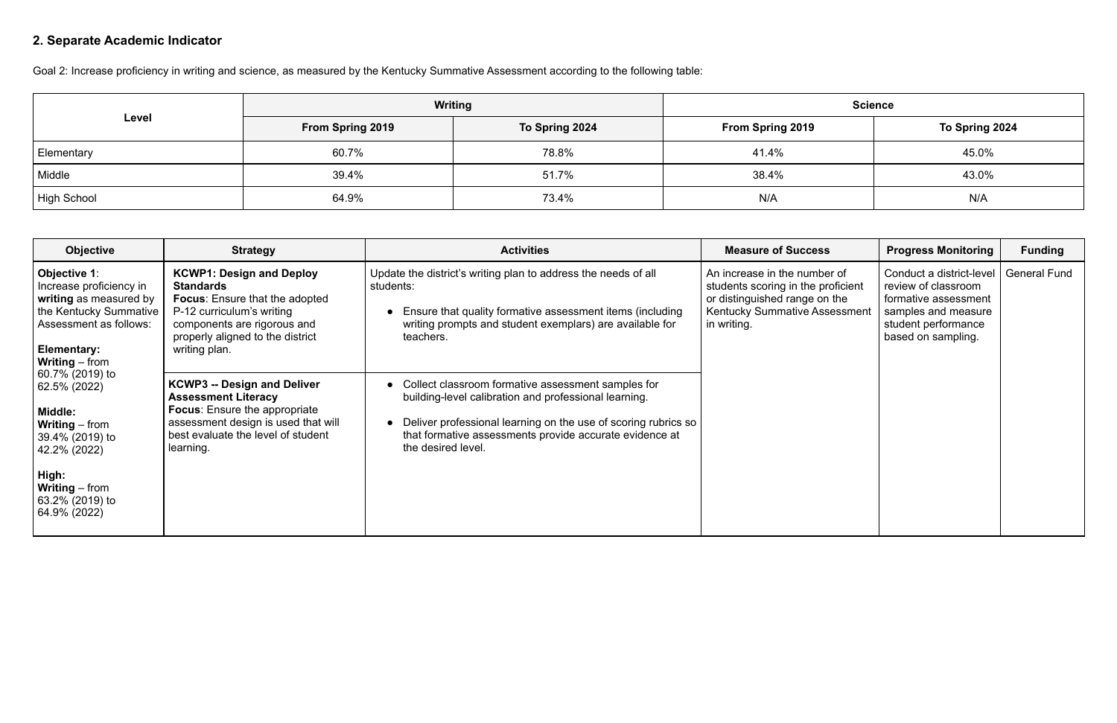# **2. Separate Academic Indicator**

Goal 2: Increase proficiency in writing and science, as measured by the Kentucky Summative Assessment according to the following table:

|             | Writing                 |                | <b>Science</b>   |                |
|-------------|-------------------------|----------------|------------------|----------------|
| Level       | <b>From Spring 2019</b> | To Spring 2024 | From Spring 2019 | To Spring 2024 |
| Elementary  | 60.7%                   | 78.8%          | 41.4%            | 45.0%          |
| Middle      | 39.4%                   | 51.7%          | 38.4%            | 43.0%          |
| High School | 64.9%                   | 73.4%          | N/A              | N/A            |

| <b>Objective</b>                                                                                                                                                            | <b>Strategy</b>                                                                                                                                                                                               | <b>Activities</b>                                                                                                                                                                                                                                              | <b>Measure of Success</b>                                                                                                                           | <b>Progress Monitoring</b>                                                                                                                  | <b>Funding</b>      |
|-----------------------------------------------------------------------------------------------------------------------------------------------------------------------------|---------------------------------------------------------------------------------------------------------------------------------------------------------------------------------------------------------------|----------------------------------------------------------------------------------------------------------------------------------------------------------------------------------------------------------------------------------------------------------------|-----------------------------------------------------------------------------------------------------------------------------------------------------|---------------------------------------------------------------------------------------------------------------------------------------------|---------------------|
| Objective 1:<br>Increase proficiency in<br>writing as measured by<br>the Kentucky Summative<br>Assessment as follows:<br>Elementary:<br>  Writing – from                    | <b>KCWP1: Design and Deploy</b><br><b>Standards</b><br><b>Focus:</b> Ensure that the adopted<br>P-12 curriculum's writing<br>components are rigorous and<br>properly aligned to the district<br>writing plan. | Update the district's writing plan to address the needs of all<br>students:<br>Ensure that quality formative assessment items (including<br>writing prompts and student exemplars) are available for<br>teachers.                                              | An increase in the number of<br>students scoring in the proficient<br>or distinguished range on the<br>Kentucky Summative Assessment<br>in writing. | Conduct a district-level<br>review of classroom<br>formative assessment<br>samples and measure<br>student performance<br>based on sampling. | <b>General Fund</b> |
| 60.7% (2019) to<br>62.5% (2022)<br>Middle:<br><b>Writing</b> – from<br>39.4% (2019) to<br>42.2% (2022)<br>High:<br><b>Writing</b> – from<br>63.2% (2019) to<br>64.9% (2022) | <b>KCWP3 -- Design and Deliver</b><br><b>Assessment Literacy</b><br><b>Focus:</b> Ensure the appropriate<br>assessment design is used that will<br>best evaluate the level of student<br>learning.            | Collect classroom formative assessment samples for<br>building-level calibration and professional learning.<br>Deliver professional learning on the use of scoring rubrics so<br>that formative assessments provide accurate evidence at<br>the desired level. |                                                                                                                                                     |                                                                                                                                             |                     |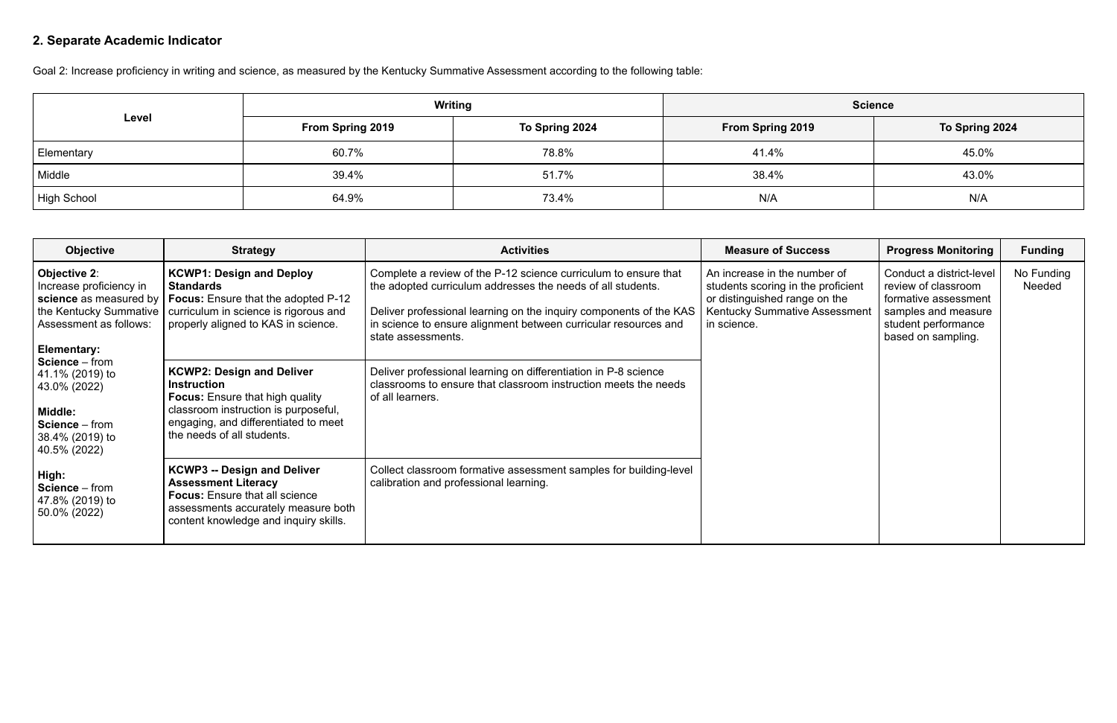# **2. Separate Academic Indicator**

Goal 2: Increase proficiency in writing and science, as measured by the Kentucky Summative Assessment according to the following table:

|             | Writing                 |                | <b>Science</b>          |                |
|-------------|-------------------------|----------------|-------------------------|----------------|
| Level       | <b>From Spring 2019</b> | To Spring 2024 | <b>From Spring 2019</b> | To Spring 2024 |
| Elementary  | 60.7%                   | 78.8%          | 41.4%                   | 45.0%          |
| Middle      | 39.4%                   | 51.7%          | 38.4%                   | 43.0%          |
| High School | 64.9%                   | 73.4%          | N/A                     | N/A            |

| <b>Objective</b>                                                                                                                     | <b>Strategy</b>                                                                                                                                                                                                | <b>Activities</b>                                                                                                                                                                                                                                                                             | <b>Measure of Success</b>                                                                                                                           | <b>Progress Monitoring</b>                                                                                                                  | <b>Funding</b>       |
|--------------------------------------------------------------------------------------------------------------------------------------|----------------------------------------------------------------------------------------------------------------------------------------------------------------------------------------------------------------|-----------------------------------------------------------------------------------------------------------------------------------------------------------------------------------------------------------------------------------------------------------------------------------------------|-----------------------------------------------------------------------------------------------------------------------------------------------------|---------------------------------------------------------------------------------------------------------------------------------------------|----------------------|
| Objective 2:<br>Increase proficiency in<br>science as measured by<br>the Kentucky Summative<br>Assessment as follows:<br>Elementary: | <b>KCWP1: Design and Deploy</b><br><b>Standards</b><br><b>Focus:</b> Ensure that the adopted P-12<br>curriculum in science is rigorous and<br>properly aligned to KAS in science.                              | Complete a review of the P-12 science curriculum to ensure that<br>the adopted curriculum addresses the needs of all students.<br>Deliver professional learning on the inquiry components of the KAS<br>in science to ensure alignment between curricular resources and<br>state assessments. | An increase in the number of<br>students scoring in the proficient<br>or distinguished range on the<br>Kentucky Summative Assessment<br>in science. | Conduct a district-level<br>review of classroom<br>formative assessment<br>samples and measure<br>student performance<br>based on sampling. | No Funding<br>Needed |
| Science - from<br>41.1% (2019) to<br>43.0% (2022)<br>Middle:<br>Science - from<br>38.4% (2019) to<br>40.5% (2022)                    | <b>KCWP2: Design and Deliver</b><br><b>Instruction</b><br><b>Focus:</b> Ensure that high quality<br>classroom instruction is purposeful,<br>engaging, and differentiated to meet<br>the needs of all students. | Deliver professional learning on differentiation in P-8 science<br>classrooms to ensure that classroom instruction meets the needs<br>of all learners.                                                                                                                                        |                                                                                                                                                     |                                                                                                                                             |                      |
| High:<br>Science - from<br>47.8% (2019) to<br>50.0% (2022)                                                                           | <b>KCWP3 -- Design and Deliver</b><br><b>Assessment Literacy</b><br><b>Focus:</b> Ensure that all science<br>assessments accurately measure both<br>content knowledge and inquiry skills.                      | Collect classroom formative assessment samples for building-level<br>calibration and professional learning.                                                                                                                                                                                   |                                                                                                                                                     |                                                                                                                                             |                      |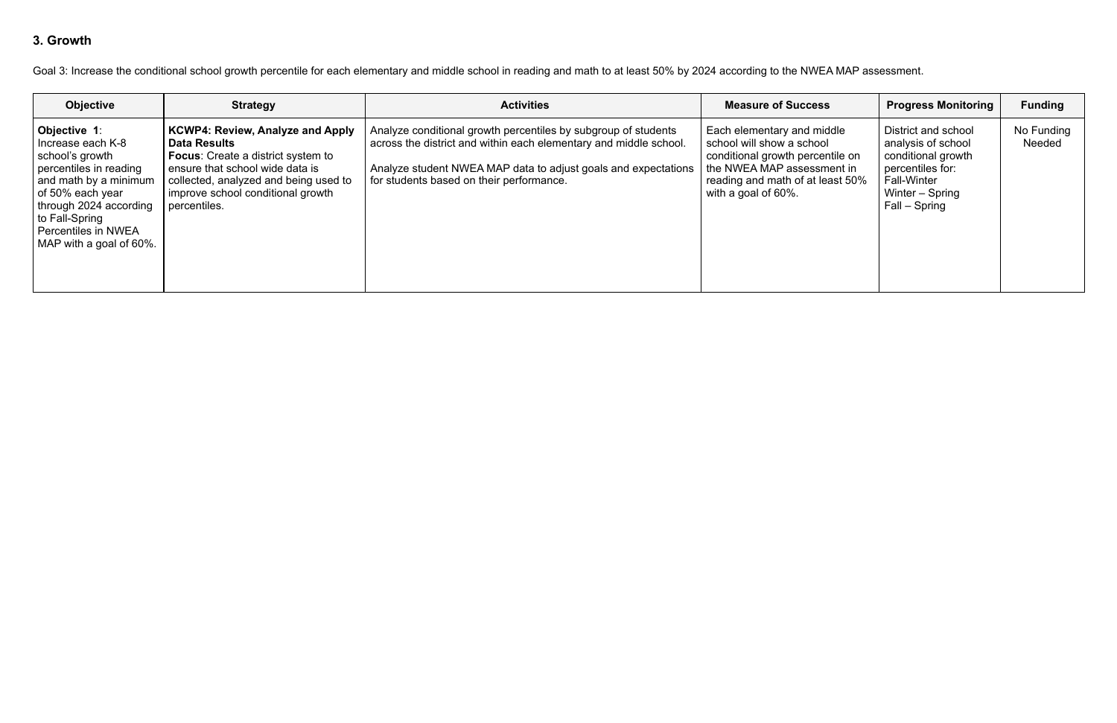## **3. Growth**

Goal 3: Increase the conditional school growth percentile for each elementary and middle school in reading and math to at least 50% by 2024 according to the NWEA MAP assessment.

| <b>Objective</b>                                                                                                                                                                                                            | <b>Strategy</b>                                                                                                                                                                                                                              | <b>Activities</b>                                                                                                                                                                                                                                 | <b>Measure of Success</b>                                                                                                                                                            | <b>Progress Monitoring</b>                                                                                                                    | <b>Funding</b>       |
|-----------------------------------------------------------------------------------------------------------------------------------------------------------------------------------------------------------------------------|----------------------------------------------------------------------------------------------------------------------------------------------------------------------------------------------------------------------------------------------|---------------------------------------------------------------------------------------------------------------------------------------------------------------------------------------------------------------------------------------------------|--------------------------------------------------------------------------------------------------------------------------------------------------------------------------------------|-----------------------------------------------------------------------------------------------------------------------------------------------|----------------------|
| Objective 1:<br>I Increase each K-8<br>school's growth<br>percentiles in reading<br>and math by a minimum<br>of 50% each year<br>through 2024 according<br>to Fall-Spring<br>Percentiles in NWEA<br>MAP with a goal of 60%. | <b>KCWP4: Review, Analyze and Apply</b><br><b>Data Results</b><br><b>Focus:</b> Create a district system to<br>ensure that school wide data is<br>collected, analyzed and being used to<br>improve school conditional growth<br>percentiles. | Analyze conditional growth percentiles by subgroup of students<br>across the district and within each elementary and middle school.<br>Analyze student NWEA MAP data to adjust goals and expectations<br>for students based on their performance. | Each elementary and middle<br>school will show a school<br>conditional growth percentile on<br>the NWEA MAP assessment in<br>reading and math of at least 50%<br>with a goal of 60%. | District and school<br>analysis of school<br>conditional growth<br>percentiles for:<br><b>Fall-Winter</b><br>Winter – Spring<br>Fall – Spring | No Funding<br>Needed |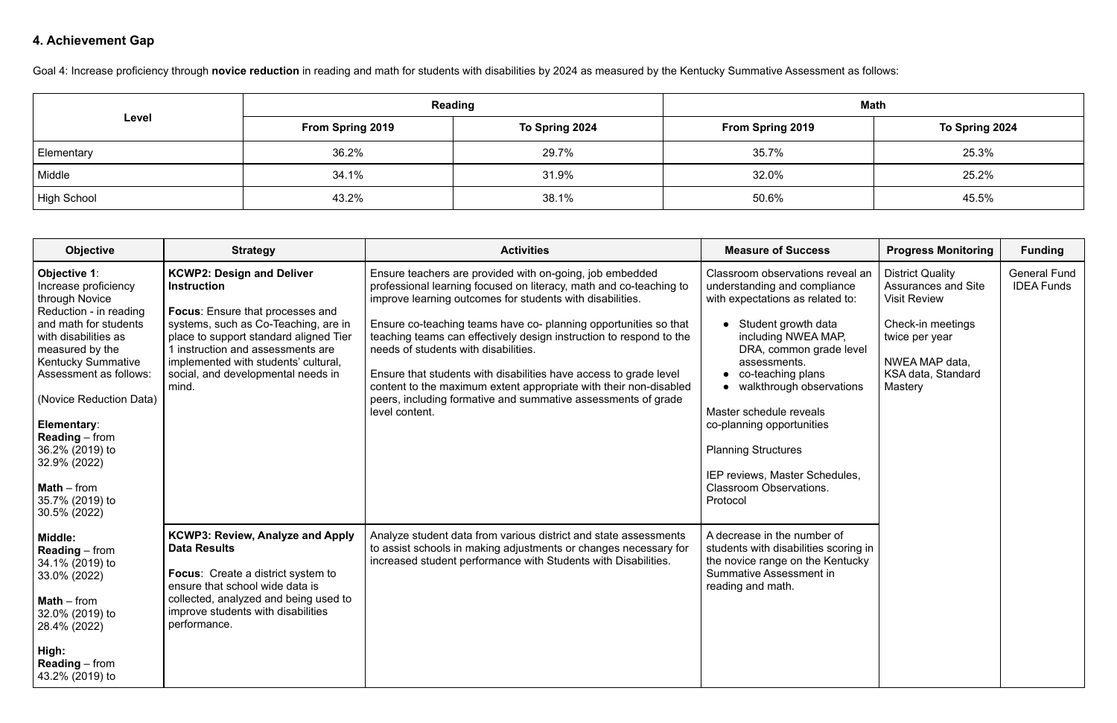# **4. Achievement Gap**

Goal 4: Increase proficiency through **novice reduction** in reading and math for students with disabilities by 2024 as measured by the Kentucky Summative Assessment as follows:

|             | Reading                 |                | <b>Math</b>      |                |
|-------------|-------------------------|----------------|------------------|----------------|
| Level       | <b>From Spring 2019</b> | To Spring 2024 | From Spring 2019 | To Spring 2024 |
| Elementary  | 36.2%                   | 29.7%          | 35.7%            | 25.3%          |
| Middle      | 34.1%                   | 31.9%          | 32.0%            | 25.2%          |
| High School | 43.2%                   | 38.1%          | 50.6%            | 45.5%          |

| <b>Objective</b>                                                                                                                                                                                                                                                                                                                                                      | <b>Strategy</b>                                                                                                                                                                                                                                                                                                 | <b>Activities</b>                                                                                                                                                                                                                                                                                                                                                                                                                                                                                                                                                                                           | <b>Measure of Success</b>                                                                                                                                                                                                                                                                                                                                                                                                  | <b>Progress Monitoring</b>                                                                                                                                             | <b>Funding</b>                           |
|-----------------------------------------------------------------------------------------------------------------------------------------------------------------------------------------------------------------------------------------------------------------------------------------------------------------------------------------------------------------------|-----------------------------------------------------------------------------------------------------------------------------------------------------------------------------------------------------------------------------------------------------------------------------------------------------------------|-------------------------------------------------------------------------------------------------------------------------------------------------------------------------------------------------------------------------------------------------------------------------------------------------------------------------------------------------------------------------------------------------------------------------------------------------------------------------------------------------------------------------------------------------------------------------------------------------------------|----------------------------------------------------------------------------------------------------------------------------------------------------------------------------------------------------------------------------------------------------------------------------------------------------------------------------------------------------------------------------------------------------------------------------|------------------------------------------------------------------------------------------------------------------------------------------------------------------------|------------------------------------------|
| Objective 1:<br>Increase proficiency<br>through Novice<br>Reduction - in reading<br>and math for students<br>with disabilities as<br>measured by the<br><b>Kentucky Summative</b><br>Assessment as follows:<br>(Novice Reduction Data)<br>Elementary:<br><b>Reading</b> – from<br>36.2% (2019) to<br>32.9% (2022)<br>$Math – from$<br>35.7% (2019) to<br>30.5% (2022) | <b>KCWP2: Design and Deliver</b><br><b>Instruction</b><br><b>Focus:</b> Ensure that processes and<br>systems, such as Co-Teaching, are in<br>place to support standard aligned Tier<br>1 instruction and assessments are<br>implemented with students' cultural,<br>social, and developmental needs in<br>mind. | Ensure teachers are provided with on-going, job embedded<br>professional learning focused on literacy, math and co-teaching to<br>improve learning outcomes for students with disabilities.<br>Ensure co-teaching teams have co- planning opportunities so that<br>teaching teams can effectively design instruction to respond to the<br>needs of students with disabilities.<br>Ensure that students with disabilities have access to grade level<br>content to the maximum extent appropriate with their non-disabled<br>peers, including formative and summative assessments of grade<br>level content. | Classroom observations reveal an<br>understanding and compliance<br>with expectations as related to:<br>• Student growth data<br>including NWEA MAP,<br>DRA, common grade level<br>assessments.<br>• co-teaching plans<br>• walkthrough observations<br>Master schedule reveals<br>co-planning opportunities<br><b>Planning Structures</b><br>IEP reviews, Master Schedules,<br><b>Classroom Observations.</b><br>Protocol | <b>District Quality</b><br><b>Assurances and Site</b><br><b>Visit Review</b><br>Check-in meetings<br>twice per year<br>NWEA MAP data,<br>KSA data, Standard<br>Mastery | <b>General Fund</b><br><b>IDEA Funds</b> |
| Middle:<br><b>Reading</b> – from<br>34.1% (2019) to<br>33.0% (2022)<br>Math - from<br>32.0% (2019) to<br>28.4% (2022)<br>High:<br><b>Reading</b> – from<br>43.2% (2019) to                                                                                                                                                                                            | KCWP3: Review, Analyze and Apply<br><b>Data Results</b><br><b>Focus:</b> Create a district system to<br>ensure that school wide data is<br>collected, analyzed and being used to<br>improve students with disabilities<br>performance.                                                                          | Analyze student data from various district and state assessments<br>to assist schools in making adjustments or changes necessary for<br>increased student performance with Students with Disabilities.                                                                                                                                                                                                                                                                                                                                                                                                      | A decrease in the number of<br>students with disabilities scoring in<br>the novice range on the Kentucky<br>Summative Assessment in<br>reading and math.                                                                                                                                                                                                                                                                   |                                                                                                                                                                        |                                          |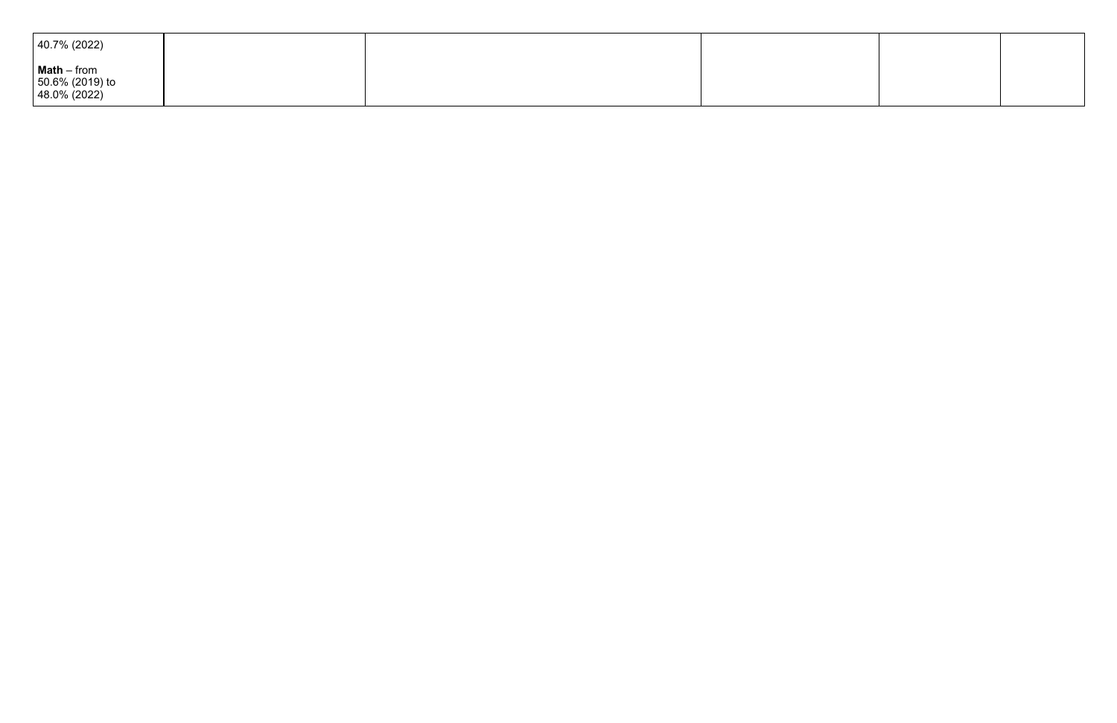| $ 40.7\% (2022) $                                                |  |  |
|------------------------------------------------------------------|--|--|
| $\vert$ Math – from<br>$  50.6\% (2019)$ to<br>$ 48.0\% (2022) $ |  |  |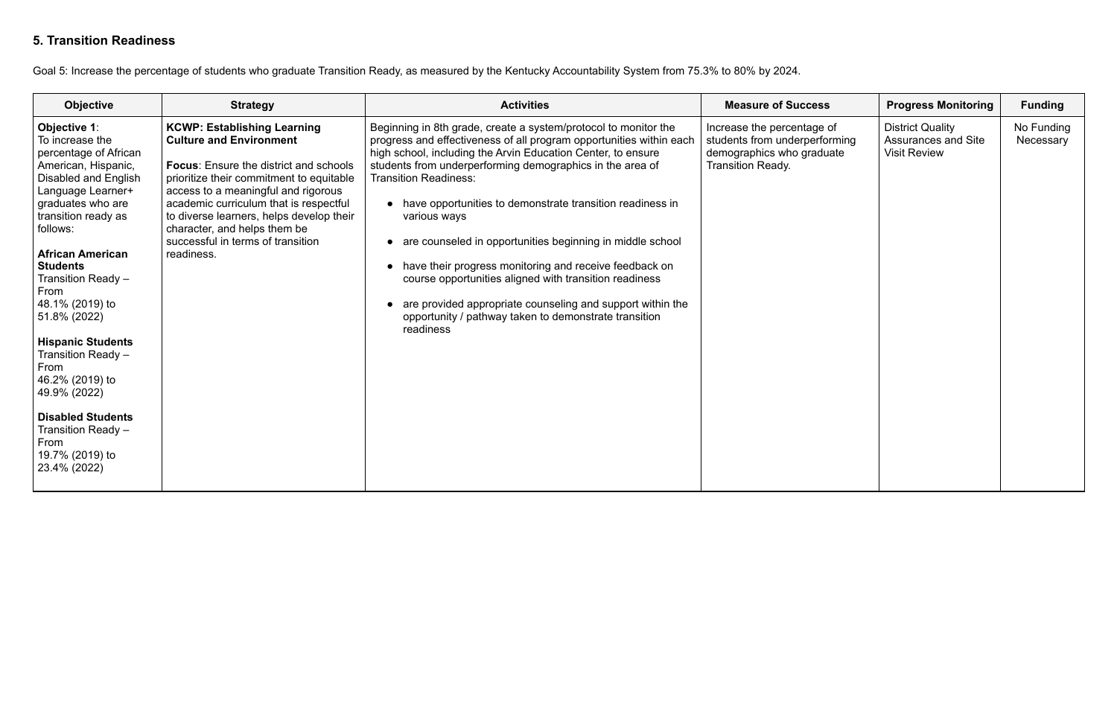## **5. Transition Readiness**

Goal 5: Increase the percentage of students who graduate Transition Ready, as measured by the Kentucky Accountability System from 75.3% to 80% by 2024.

| <b>Objective</b>                                                                                                                                                                                                                                                                                                                                                                                                                                                                                            | <b>Strategy</b>                                                                                                                                                                                                                                                                                                                                                                   | <b>Activities</b>                                                                                                                                                                                                                                                                                                                                                                                                                                                                                                                                                                                                                                                                                                    | <b>Measure of Success</b>                                                                                            | <b>Progress Monitoring</b>                                                   | <b>Funding</b>          |
|-------------------------------------------------------------------------------------------------------------------------------------------------------------------------------------------------------------------------------------------------------------------------------------------------------------------------------------------------------------------------------------------------------------------------------------------------------------------------------------------------------------|-----------------------------------------------------------------------------------------------------------------------------------------------------------------------------------------------------------------------------------------------------------------------------------------------------------------------------------------------------------------------------------|----------------------------------------------------------------------------------------------------------------------------------------------------------------------------------------------------------------------------------------------------------------------------------------------------------------------------------------------------------------------------------------------------------------------------------------------------------------------------------------------------------------------------------------------------------------------------------------------------------------------------------------------------------------------------------------------------------------------|----------------------------------------------------------------------------------------------------------------------|------------------------------------------------------------------------------|-------------------------|
| Objective 1:<br>To increase the<br>percentage of African<br>American, Hispanic,<br><b>Disabled and English</b><br>Language Learner+<br>graduates who are<br>transition ready as<br>follows:<br><b>African American</b><br><b>Students</b><br>Transition Ready -<br>From<br>48.1% (2019) to<br>51.8% (2022)<br><b>Hispanic Students</b><br>Transition Ready -<br><b>From</b><br>46.2% (2019) to<br>49.9% (2022)<br><b>Disabled Students</b><br>Transition Ready -<br>From<br>19.7% (2019) to<br>23.4% (2022) | <b>KCWP: Establishing Learning</b><br><b>Culture and Environment</b><br><b>Focus:</b> Ensure the district and schools<br>prioritize their commitment to equitable<br>access to a meaningful and rigorous<br>academic curriculum that is respectful<br>to diverse learners, helps develop their<br>character, and helps them be<br>successful in terms of transition<br>readiness. | Beginning in 8th grade, create a system/protocol to monitor the<br>progress and effectiveness of all program opportunities within each<br>high school, including the Arvin Education Center, to ensure<br>students from underperforming demographics in the area of<br><b>Transition Readiness:</b><br>• have opportunities to demonstrate transition readiness in<br>various ways<br>are counseled in opportunities beginning in middle school<br>have their progress monitoring and receive feedback on<br>$\bullet$<br>course opportunities aligned with transition readiness<br>are provided appropriate counseling and support within the<br>opportunity / pathway taken to demonstrate transition<br>readiness | Increase the percentage of<br>students from underperforming<br>demographics who graduate<br><b>Transition Ready.</b> | <b>District Quality</b><br><b>Assurances and Site</b><br><b>Visit Review</b> | No Funding<br>Necessary |

| iS                      | <b>Progress Monitoring</b>                                            | <b>Funding</b>          |
|-------------------------|-----------------------------------------------------------------------|-------------------------|
| of (<br>orming<br>luate | <b>District Quality</b><br>Assurances and Site<br><b>Visit Review</b> | No Funding<br>Necessary |
|                         |                                                                       |                         |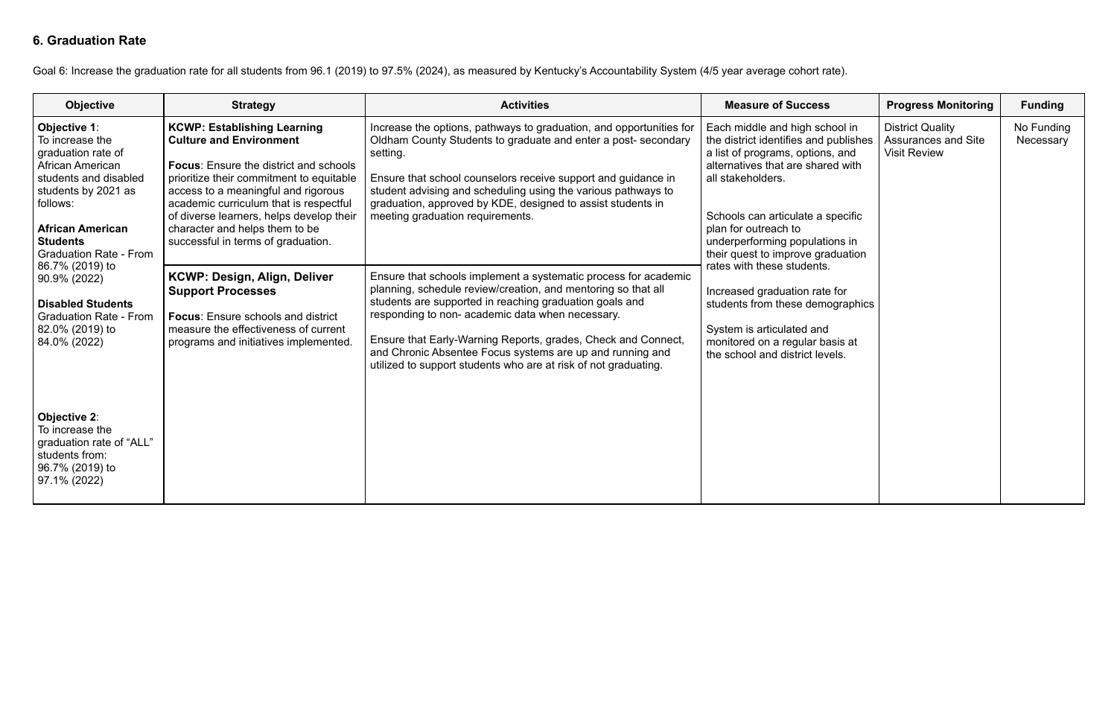## **6. Graduation Rate**

Goal 6: Increase the graduation rate for all students from 96.1 (2019) to 97.5% (2024), as measured by Kentucky's Accountability System (4/5 year average cohort rate).

| <b>Objective</b>                                                                                                                                                                                                                                                                                                                                                                                                                                | <b>Strategy</b>                                                                                                                                                                                                                                                                                                                                                                                                                           | <b>Activities</b>                                                                                                                                                                                                                                                                                                                                                                                                                                                                                                         | <b>Measure of Success</b>                                                                                                                                                                                                                                                                                                                                                | <b>Progress Monitoring</b>                                                   | <b>Funding</b>          |
|-------------------------------------------------------------------------------------------------------------------------------------------------------------------------------------------------------------------------------------------------------------------------------------------------------------------------------------------------------------------------------------------------------------------------------------------------|-------------------------------------------------------------------------------------------------------------------------------------------------------------------------------------------------------------------------------------------------------------------------------------------------------------------------------------------------------------------------------------------------------------------------------------------|---------------------------------------------------------------------------------------------------------------------------------------------------------------------------------------------------------------------------------------------------------------------------------------------------------------------------------------------------------------------------------------------------------------------------------------------------------------------------------------------------------------------------|--------------------------------------------------------------------------------------------------------------------------------------------------------------------------------------------------------------------------------------------------------------------------------------------------------------------------------------------------------------------------|------------------------------------------------------------------------------|-------------------------|
| Objective 1:<br>To increase the<br>graduation rate of<br><b>African American</b><br>students and disabled<br>students by 2021 as<br>follows:<br><b>African American</b><br><b>Students</b><br><b>Graduation Rate - From</b><br>86.7% (2019) to<br>90.9% (2022)<br><b>Disabled Students</b><br><b>Graduation Rate - From</b><br>82.0% (2019) to<br>84.0% (2022)<br>Objective 2:<br>To increase the<br>graduation rate of "ALL"<br>students from: | <b>KCWP: Establishing Learning</b><br><b>Culture and Environment</b><br><b>Focus:</b> Ensure the district and schools<br>prioritize their commitment to equitable<br>access to a meaningful and rigorous<br>academic curriculum that is respectful<br>of diverse learners, helps develop their<br>character and helps them to be<br>successful in terms of graduation.<br><b>KCWP: Design, Align, Deliver</b><br><b>Support Processes</b> | Increase the options, pathways to graduation, and opportunities for<br>Oldham County Students to graduate and enter a post-secondary<br>setting.<br>Ensure that school counselors receive support and guidance in<br>student advising and scheduling using the various pathways to<br>graduation, approved by KDE, designed to assist students in<br>meeting graduation requirements.<br>Ensure that schools implement a systematic process for academic<br>planning, schedule review/creation, and mentoring so that all | Each middle and high school in<br>the district identifies and publishes<br>a list of programs, options, and<br>alternatives that are shared with<br>all stakeholders.<br>Schools can articulate a specific<br>plan for outreach to<br>underperforming populations in<br>their quest to improve graduation<br>rates with these students.<br>Increased graduation rate for | <b>District Quality</b><br><b>Assurances and Site</b><br><b>Visit Review</b> | No Funding<br>Necessary |
|                                                                                                                                                                                                                                                                                                                                                                                                                                                 | <b>Focus:</b> Ensure schools and district<br>measure the effectiveness of current<br>programs and initiatives implemented.                                                                                                                                                                                                                                                                                                                | students are supported in reaching graduation goals and<br>responding to non-academic data when necessary.<br>Ensure that Early-Warning Reports, grades, Check and Connect,<br>and Chronic Absentee Focus systems are up and running and<br>utilized to support students who are at risk of not graduating.                                                                                                                                                                                                               | students from these demographics<br>System is articulated and<br>monitored on a regular basis at<br>the school and district levels.                                                                                                                                                                                                                                      |                                                                              |                         |
| 96.7% (2019) to<br>97.1% (2022)                                                                                                                                                                                                                                                                                                                                                                                                                 |                                                                                                                                                                                                                                                                                                                                                                                                                                           |                                                                                                                                                                                                                                                                                                                                                                                                                                                                                                                           |                                                                                                                                                                                                                                                                                                                                                                          |                                                                              |                         |

| S;                                                  | <b>Progress Monitoring</b>                                                   | <b>Funding</b>          |
|-----------------------------------------------------|------------------------------------------------------------------------------|-------------------------|
| chool in<br>publishes<br>ns, and<br><b>red</b> with | <b>District Quality</b><br><b>Assurances and Site</b><br><b>Visit Review</b> | No Funding<br>Necessary |
| specific                                            |                                                                              |                         |
| tions in<br>raduation<br>S.                         |                                                                              |                         |
| te for<br>nographics                                |                                                                              |                         |
| d<br>pasis at<br>vels.                              |                                                                              |                         |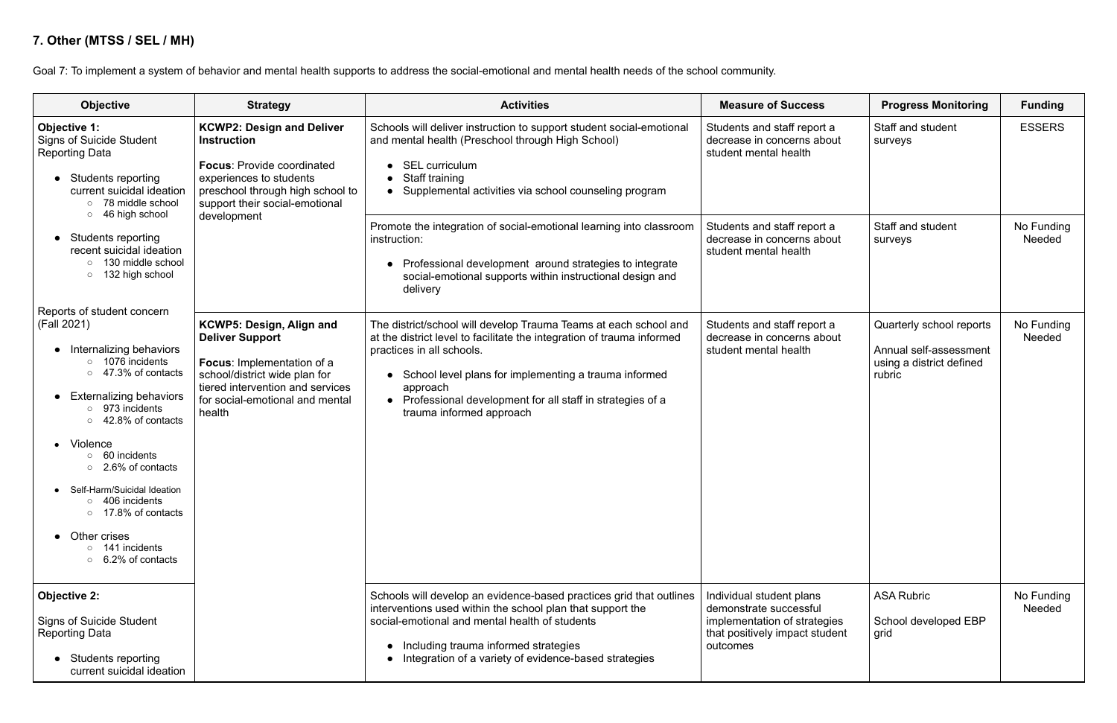## **7. Other (MTSS / SEL / MH)**

Goal 7: To implement a system of behavior and mental health supports to address the social-emotional and mental health needs of the school community.

| <b>Objective</b>                                                                                                                                                                                                                                                                                                                                                                                                               | <b>Strategy</b>                                                                                                                                                                                             | <b>Activities</b>                                                                                                                                                                                                                                                                                                                                  | <b>Measure of Success</b>                                                                                                        | <b>Progress Monitoring</b>                                                               | <b>Funding</b>       |
|--------------------------------------------------------------------------------------------------------------------------------------------------------------------------------------------------------------------------------------------------------------------------------------------------------------------------------------------------------------------------------------------------------------------------------|-------------------------------------------------------------------------------------------------------------------------------------------------------------------------------------------------------------|----------------------------------------------------------------------------------------------------------------------------------------------------------------------------------------------------------------------------------------------------------------------------------------------------------------------------------------------------|----------------------------------------------------------------------------------------------------------------------------------|------------------------------------------------------------------------------------------|----------------------|
| Objective 1:<br><b>Signs of Suicide Student</b><br><b>Reporting Data</b><br>Students reporting<br>$\bullet$<br>current suicidal ideation<br>○ 78 middle school<br>46 high school<br>$\circ$                                                                                                                                                                                                                                    | <b>KCWP2: Design and Deliver</b><br><b>Instruction</b><br><b>Focus: Provide coordinated</b><br>experiences to students<br>preschool through high school to<br>support their social-emotional<br>development | Schools will deliver instruction to support student social-emotional<br>and mental health (Preschool through High School)<br><b>SEL curriculum</b><br>Staff training<br>Supplemental activities via school counseling program                                                                                                                      | Students and staff report a<br>decrease in concerns about<br>student mental health                                               | Staff and student<br>surveys                                                             | <b>ESSERS</b>        |
| Students reporting<br>$\bullet$<br>recent suicidal ideation<br>130 middle school<br>$\circ$<br>132 high school<br>$\circ$                                                                                                                                                                                                                                                                                                      |                                                                                                                                                                                                             | Promote the integration of social-emotional learning into classroom<br>instruction:<br>Professional development around strategies to integrate<br>social-emotional supports within instructional design and<br>delivery                                                                                                                            | Students and staff report a<br>decrease in concerns about<br>student mental health                                               | Staff and student<br>surveys                                                             | No Funding<br>Needed |
| Reports of student concern<br>(Fall 2021)<br>Internalizing behaviors<br>$\bullet$<br>$\circ$ 1076 incidents<br>47.3% of contacts<br><b>Externalizing behaviors</b><br>$\bullet$<br>973 incidents<br>42.8% of contacts<br>Violence<br>60 incidents<br>2.6% of contacts<br>Self-Harm/Suicidal Ideation<br>406 incidents<br>o 17.8% of contacts<br>Other crises<br>$\bullet$<br>$\circ$ 141 incidents<br>$\circ$ 6.2% of contacts | KCWP5: Design, Align and<br><b>Deliver Support</b><br>Focus: Implementation of a<br>school/district wide plan for<br>tiered intervention and services<br>for social-emotional and mental<br>health          | The district/school will develop Trauma Teams at each school and<br>at the district level to facilitate the integration of trauma informed<br>practices in all schools.<br>School level plans for implementing a trauma informed<br>approach<br>Professional development for all staff in strategies of a<br>$\bullet$<br>trauma informed approach | Students and staff report a<br>decrease in concerns about<br>student mental health                                               | Quarterly school reports<br>Annual self-assessment<br>using a district defined<br>rubric | No Funding<br>Needed |
| <b>Objective 2:</b><br><b>Signs of Suicide Student</b><br><b>Reporting Data</b><br><b>Students reporting</b><br>$\bullet$<br>current suicidal ideation                                                                                                                                                                                                                                                                         |                                                                                                                                                                                                             | Schools will develop an evidence-based practices grid that outlines<br>interventions used within the school plan that support the<br>social-emotional and mental health of students<br>Including trauma informed strategies<br>Integration of a variety of evidence-based strategies                                                               | Individual student plans<br>demonstrate successful<br>implementation of strategies<br>that positively impact student<br>outcomes | <b>ASA Rubric</b><br>School developed EBP<br>grid                                        | No Funding<br>Needed |